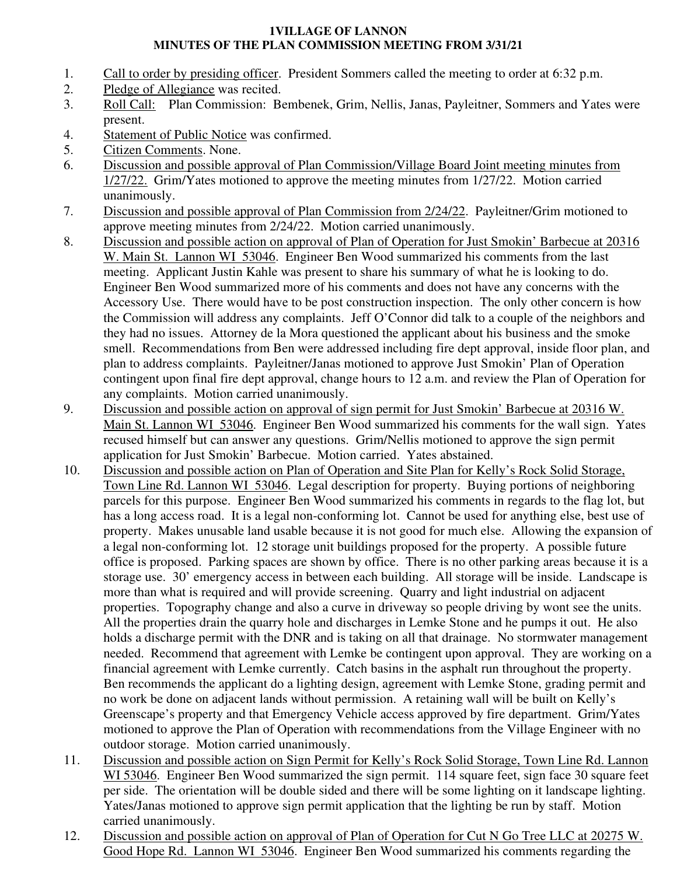## **1VILLAGE OF LANNON MINUTES OF THE PLAN COMMISSION MEETING FROM 3/31/21**

- 1. Call to order by presiding officer. President Sommers called the meeting to order at 6:32 p.m.
- 2. Pledge of Allegiance was recited.
- 3. Roll Call: Plan Commission: Bembenek, Grim, Nellis, Janas, Payleitner, Sommers and Yates were present.
- 4. Statement of Public Notice was confirmed.
- 5. Citizen Comments. None.
- 6. Discussion and possible approval of Plan Commission/Village Board Joint meeting minutes from 1/27/22. Grim/Yates motioned to approve the meeting minutes from 1/27/22. Motion carried unanimously.
- 7. Discussion and possible approval of Plan Commission from 2/24/22. Payleitner/Grim motioned to approve meeting minutes from 2/24/22. Motion carried unanimously.
- 8. Discussion and possible action on approval of Plan of Operation for Just Smokin' Barbecue at 20316 W. Main St. Lannon WI 53046. Engineer Ben Wood summarized his comments from the last meeting. Applicant Justin Kahle was present to share his summary of what he is looking to do. Engineer Ben Wood summarized more of his comments and does not have any concerns with the Accessory Use. There would have to be post construction inspection. The only other concern is how the Commission will address any complaints. Jeff O'Connor did talk to a couple of the neighbors and they had no issues. Attorney de la Mora questioned the applicant about his business and the smoke smell. Recommendations from Ben were addressed including fire dept approval, inside floor plan, and plan to address complaints. Payleitner/Janas motioned to approve Just Smokin' Plan of Operation contingent upon final fire dept approval, change hours to 12 a.m. and review the Plan of Operation for any complaints. Motion carried unanimously.
- 9. Discussion and possible action on approval of sign permit for Just Smokin' Barbecue at 20316 W. Main St. Lannon WI 53046. Engineer Ben Wood summarized his comments for the wall sign. Yates recused himself but can answer any questions. Grim/Nellis motioned to approve the sign permit application for Just Smokin' Barbecue. Motion carried. Yates abstained.
- 10. Discussion and possible action on Plan of Operation and Site Plan for Kelly's Rock Solid Storage, Town Line Rd. Lannon WI 53046. Legal description for property. Buying portions of neighboring parcels for this purpose. Engineer Ben Wood summarized his comments in regards to the flag lot, but has a long access road. It is a legal non-conforming lot. Cannot be used for anything else, best use of property. Makes unusable land usable because it is not good for much else. Allowing the expansion of a legal non-conforming lot. 12 storage unit buildings proposed for the property. A possible future office is proposed. Parking spaces are shown by office. There is no other parking areas because it is a storage use. 30' emergency access in between each building. All storage will be inside. Landscape is more than what is required and will provide screening. Quarry and light industrial on adjacent properties. Topography change and also a curve in driveway so people driving by wont see the units. All the properties drain the quarry hole and discharges in Lemke Stone and he pumps it out. He also holds a discharge permit with the DNR and is taking on all that drainage. No stormwater management needed. Recommend that agreement with Lemke be contingent upon approval. They are working on a financial agreement with Lemke currently. Catch basins in the asphalt run throughout the property. Ben recommends the applicant do a lighting design, agreement with Lemke Stone, grading permit and no work be done on adjacent lands without permission. A retaining wall will be built on Kelly's Greenscape's property and that Emergency Vehicle access approved by fire department. Grim/Yates motioned to approve the Plan of Operation with recommendations from the Village Engineer with no outdoor storage. Motion carried unanimously.
- 11. Discussion and possible action on Sign Permit for Kelly's Rock Solid Storage, Town Line Rd. Lannon WI 53046. Engineer Ben Wood summarized the sign permit. 114 square feet, sign face 30 square feet per side. The orientation will be double sided and there will be some lighting on it landscape lighting. Yates/Janas motioned to approve sign permit application that the lighting be run by staff. Motion carried unanimously.
- 12. Discussion and possible action on approval of Plan of Operation for Cut N Go Tree LLC at 20275 W. Good Hope Rd. Lannon WI 53046. Engineer Ben Wood summarized his comments regarding the